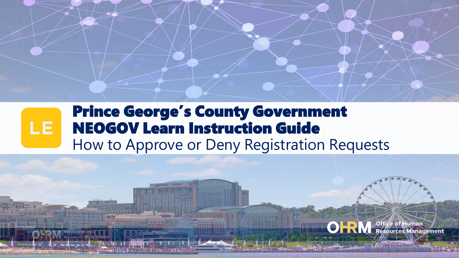#### Prince George's County Government LE. NEOGOV Learn Instruction Guide How to Approve or Deny Registration Requests

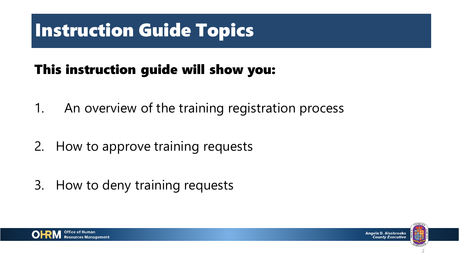### Instruction Guide Topics

### This instruction guide will show you:

- 1. An overview of the training registration process
- 2. How to approve training requests
- 3. How to deny training requests



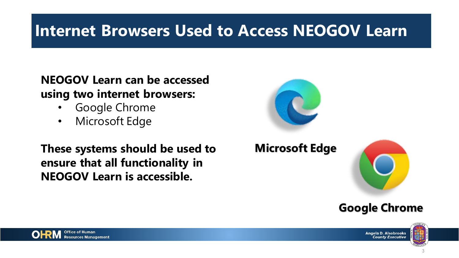### **Internet Browsers Used to Access NEOGOV Learn**

### **NEOGOV Learn can be accessed using two internet browsers:**

- Google Chrome
- Microsoft Edge

### **These systems should be used to ensure that all functionality in NEOGOV Learn is accessible.**



#### **Microsoft Edge**





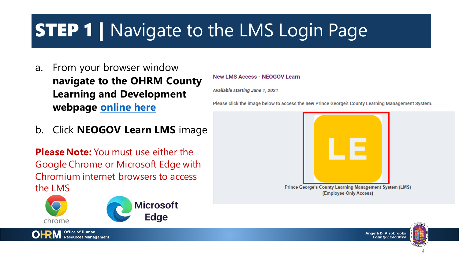## **STEP 1 | Navigate to the LMS Login Page**

- a. From your browser window **navigate to the OHRM County Learning and Development webpage [online here](https://www.princegeorgescountymd.gov/3376/Learning-Management-System)**
- b. Click **NEOGOV Learn LMS** image

**Please Note:** You must use either the Google Chrome or Microsoft Edge with Chromium internet browsers to access the LMS



**Office of Human** 

**Resources Management** 

#### **New LMS Access - NEOGOV Learn**

Available starting June 1, 2021

Please click the image below to access the new Prince George's County Learning Management System.



**Angela D. Alsobrooks County Executive** 

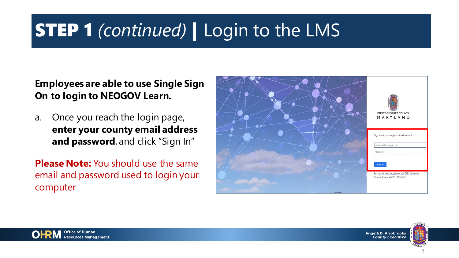# STEP 1 *(continued)* | Login to the LMS

#### **Employees are able to use Single Sign On to login to NEOGOV Learn.**

a. Once you reach the login page, **enter your county email address and password**, and click "Sign In"

**Please Note:** You should use the same email and password used to login your computer

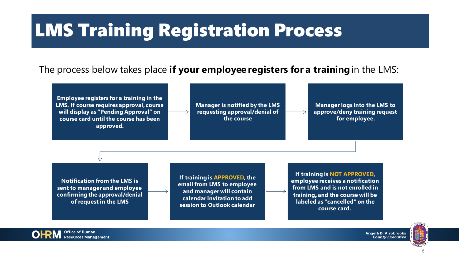### LMS Training Registration Process

#### The process below takes place **if your employee registers for a training** in the LMS:

**Employee registers for a training in the LMS. If course requires approval, course will display as "Pending Approval" on course card until the course has been approved.**

**Manager is notified by the LMS requesting approval/denial of the course**

**Manager logs into the LMS to approve/deny training request for employee.**

**Notification from the LMS is sent to manager and employee confirming the approval/denial of request in the LMS**

**Office of Human** 

**Resources Management** 

**If training is APPROVED, the email from LMS to employee and manager will contain calendar invitation to add session to Outlook calendar** 

**If training is NOT APPROVED, employee receives a notification from LMS and is not enrolled in training**, **and the course will be labeled as "cancelled" on the course card.**

> Angela D. Alsobrooks **County Executive**



6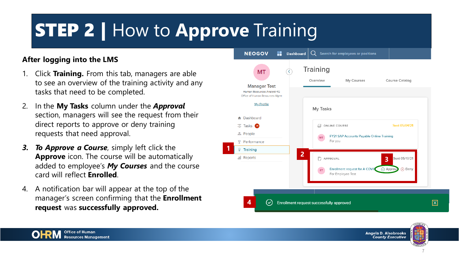## STEP 2 | How to **Approve** Training

#### **After logging into the LMS**

- 1. Click **Training.** From this tab, managers are able to see an overview of the training activity and any tasks that need to be completed.
- 2. In the **My Tasks** column under the *Approval*  section, managers will see the request from their direct reports to approve or deny training requests that need approval.
- *3. To Approve a Course*, simply left click the **Approve** icon. The course will be automatically added to employee's *My Courses* and the course card will reflect **Enrolled**.
- 4. A notification bar will appear at the top of the manager's screen confirming that the **Enrollment request** was **successfully approved.**



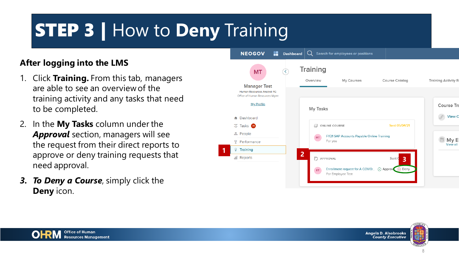## STEP 3 | How to **Deny** Training

#### **After logging into the LMS**

- 1. Click **Training.** From this tab, managers are able to see an overview of the training activity and any tasks that need to be completed.
- 2. In the **My Tasks** column under the *Approval* section, managers will see the request from their direct reports to approve or deny training requests that need approval.
- *3. To Deny a Course*, simply click the **Deny** icon.





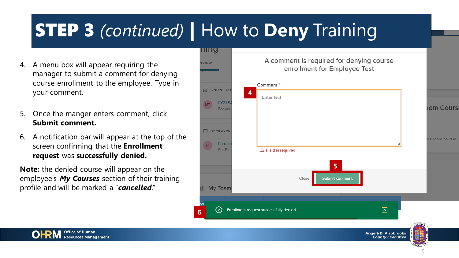### STEP 3 *(continued)* | How to **Deny** Training

- 4. A menu box will appear requiring the manager to submit a comment for denying course enrollment to the employee. Type in your comment.
- 5. Once the manger enters comment, click **Submit comment.**
- 6. A notification bar will appear at the top of the screen confirming that the **Enrollment request** was **successfully denied.**

**Note:** the denied course will appear on the employee's *My Courses* section of their training profile and will be marked a "*cancelled*."



Office of Human **Resources Management** 

Angela D. Alsobrooks **County Executive**